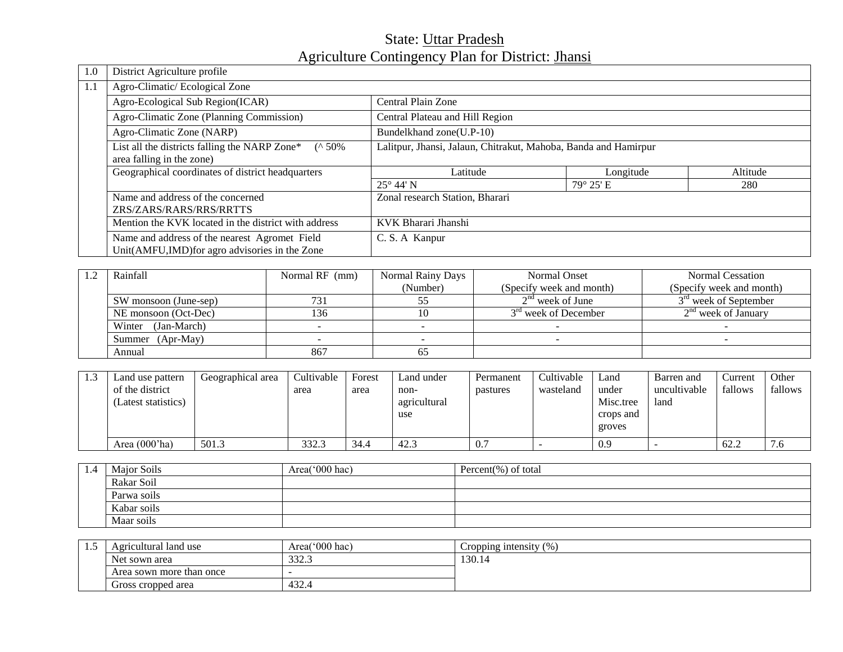# State: Uttar Pradesh Agriculture Contingency Plan for District: *Jhansi*

| 1.0 | District Agriculture profile                              |                                                                 |           |          |  |  |
|-----|-----------------------------------------------------------|-----------------------------------------------------------------|-----------|----------|--|--|
| 1.1 | Agro-Climatic/Ecological Zone                             |                                                                 |           |          |  |  |
|     | Agro-Ecological Sub Region(ICAR)                          | Central Plain Zone                                              |           |          |  |  |
|     | Agro-Climatic Zone (Planning Commission)                  | Central Plateau and Hill Region                                 |           |          |  |  |
|     | Agro-Climatic Zone (NARP)                                 | Bundelkhand zone(U.P-10)                                        |           |          |  |  |
|     | List all the districts falling the NARP Zone* $(^{6}50\%$ | Lalitpur, Jhansi, Jalaun, Chitrakut, Mahoba, Banda and Hamirpur |           |          |  |  |
|     | area falling in the zone)                                 |                                                                 |           |          |  |  |
|     | Geographical coordinates of district headquarters         | Latitude                                                        | Longitude | Altitude |  |  |
|     |                                                           | $25^{\circ}$ 44' N                                              | 79° 25' E | 280      |  |  |
|     | Name and address of the concerned                         | Zonal research Station, Bharari                                 |           |          |  |  |
|     | ZRS/ZARS/RARS/RRS/RRTTS                                   |                                                                 |           |          |  |  |
|     | Mention the KVK located in the district with address      | KVK Bharari Jhanshi                                             |           |          |  |  |
|     | Name and address of the nearest Agromet Field             | C. S. A Kanpur                                                  |           |          |  |  |
|     | Unit(AMFU,IMD) for agro advisories in the Zone            |                                                                 |           |          |  |  |

| Rainfall              | Normal RF (mm) | Normal Rainy Days | Normal Onset             | Normal Cessation         |
|-----------------------|----------------|-------------------|--------------------------|--------------------------|
|                       |                | (Number)          | (Specify week and month) | (Specify week and month) |
| SW monsoon (June-sep) | 731            |                   | $2nd$ week of June       | $3rd$ week of September  |
| NE monsoon (Oct-Dec)  | 136            |                   | $3rd$ week of December   | $2nd$ week of January    |
| Winter (Jan-March)    |                |                   |                          |                          |
| Summer (Apr-May)      |                |                   |                          |                          |
| Annual                | 867            |                   |                          |                          |

| 1.3 | Land use pattern<br>of the district<br>(Latest statistics) | Geographical area | Cultivable<br>area | Forest<br>area | Land under<br>non-<br>agricultural<br>use | Permanent<br>pastures | Cultivable<br>wasteland | Land<br>under<br>Misc.tree<br>crops and<br>groves | Barren and<br>uncultivable<br>land | Current<br>fallows | Other<br>fallows |
|-----|------------------------------------------------------------|-------------------|--------------------|----------------|-------------------------------------------|-----------------------|-------------------------|---------------------------------------------------|------------------------------------|--------------------|------------------|
|     | Area $(000'$ ha)                                           | 501.3             | 332.3              | 34.4           | 42.3                                      | 0.7                   |                         | 0.9                                               |                                    | 62.2               | 7.6              |

| -1.4 | Major Soils | Area( $000$ hac) | Percent $(\%)$ of total |  |  |
|------|-------------|------------------|-------------------------|--|--|
|      | Rakar Soil  |                  |                         |  |  |
|      | Parwa soils |                  |                         |  |  |
|      | Kabar soils |                  |                         |  |  |
|      | Maar soils  |                  |                         |  |  |

| سند | Agricultural land use       | Area( $000$ hac) | Cropping intensity $(\%)$ |
|-----|-----------------------------|------------------|---------------------------|
|     | Net sown area               | 332.3            | 130.14                    |
|     | Area sown more than once    |                  |                           |
|     | 432.4<br>Gross cropped area |                  |                           |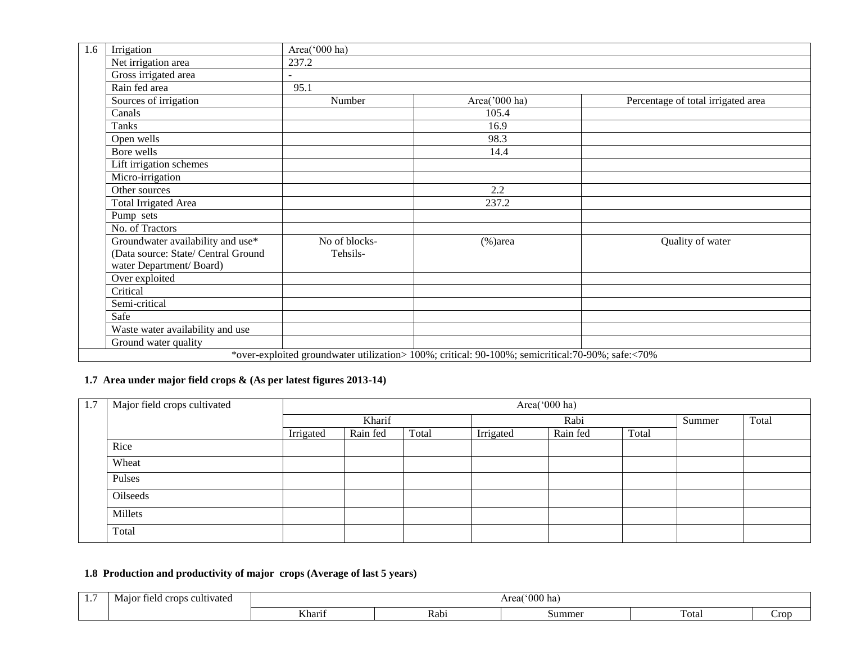| 1.6 | Irrigation                          | Area('000 ha) |                                                                                                  |                                    |  |  |  |  |  |  |
|-----|-------------------------------------|---------------|--------------------------------------------------------------------------------------------------|------------------------------------|--|--|--|--|--|--|
|     | Net irrigation area                 | 237.2         |                                                                                                  |                                    |  |  |  |  |  |  |
|     | Gross irrigated area                |               |                                                                                                  |                                    |  |  |  |  |  |  |
|     | Rain fed area                       | 95.1          |                                                                                                  |                                    |  |  |  |  |  |  |
|     | Sources of irrigation               | Number        | Area('000 ha)                                                                                    | Percentage of total irrigated area |  |  |  |  |  |  |
|     | Canals                              |               | 105.4                                                                                            |                                    |  |  |  |  |  |  |
|     | Tanks                               |               | 16.9                                                                                             |                                    |  |  |  |  |  |  |
|     | Open wells                          |               | 98.3                                                                                             |                                    |  |  |  |  |  |  |
|     | Bore wells                          |               | 14.4                                                                                             |                                    |  |  |  |  |  |  |
|     | Lift irrigation schemes             |               |                                                                                                  |                                    |  |  |  |  |  |  |
|     | Micro-irrigation                    |               |                                                                                                  |                                    |  |  |  |  |  |  |
|     | Other sources                       |               | 2.2                                                                                              |                                    |  |  |  |  |  |  |
|     | <b>Total Irrigated Area</b>         |               | 237.2                                                                                            |                                    |  |  |  |  |  |  |
|     | Pump sets                           |               |                                                                                                  |                                    |  |  |  |  |  |  |
|     | No. of Tractors                     |               |                                                                                                  |                                    |  |  |  |  |  |  |
|     | Groundwater availability and use*   | No of blocks- | $%$ )area                                                                                        | Quality of water                   |  |  |  |  |  |  |
|     | (Data source: State/ Central Ground | Tehsils-      |                                                                                                  |                                    |  |  |  |  |  |  |
|     | water Department/Board)             |               |                                                                                                  |                                    |  |  |  |  |  |  |
|     | Over exploited                      |               |                                                                                                  |                                    |  |  |  |  |  |  |
|     | Critical                            |               |                                                                                                  |                                    |  |  |  |  |  |  |
|     | Semi-critical                       |               |                                                                                                  |                                    |  |  |  |  |  |  |
|     | Safe                                |               |                                                                                                  |                                    |  |  |  |  |  |  |
|     | Waste water availability and use    |               |                                                                                                  |                                    |  |  |  |  |  |  |
|     | Ground water quality                |               |                                                                                                  |                                    |  |  |  |  |  |  |
|     |                                     |               | *over-exploited groundwater utilization> 100%; critical: 90-100%; semicritical:70-90%; safe:<70% |                                    |  |  |  |  |  |  |

## **1.7 Area under major field crops & (As per latest figures 2013-14)**

| 1.7 | Major field crops cultivated |           | Area('000 ha) |       |           |          |       |        |       |  |
|-----|------------------------------|-----------|---------------|-------|-----------|----------|-------|--------|-------|--|
|     |                              |           | Kharif        |       |           | Rabi     |       | Summer | Total |  |
|     |                              | Irrigated | Rain fed      | Total | Irrigated | Rain fed | Total |        |       |  |
|     | Rice                         |           |               |       |           |          |       |        |       |  |
|     | Wheat                        |           |               |       |           |          |       |        |       |  |
|     | Pulses                       |           |               |       |           |          |       |        |       |  |
|     | Oilseeds                     |           |               |       |           |          |       |        |       |  |
|     | Millets                      |           |               |       |           |          |       |        |       |  |
|     | Total                        |           |               |       |           |          |       |        |       |  |

# **1.8 Production and productivity of major crops (Average of last 5 years)**

| . . | Major field crops of<br>cultivated |                |      | $^{\circ}000$ ha)<br>Area( |             |      |  |  |
|-----|------------------------------------|----------------|------|----------------------------|-------------|------|--|--|
|     |                                    | T T1<br>Kharıi | Kabi | Summe <sup>r</sup>         | r.<br>Total | Crop |  |  |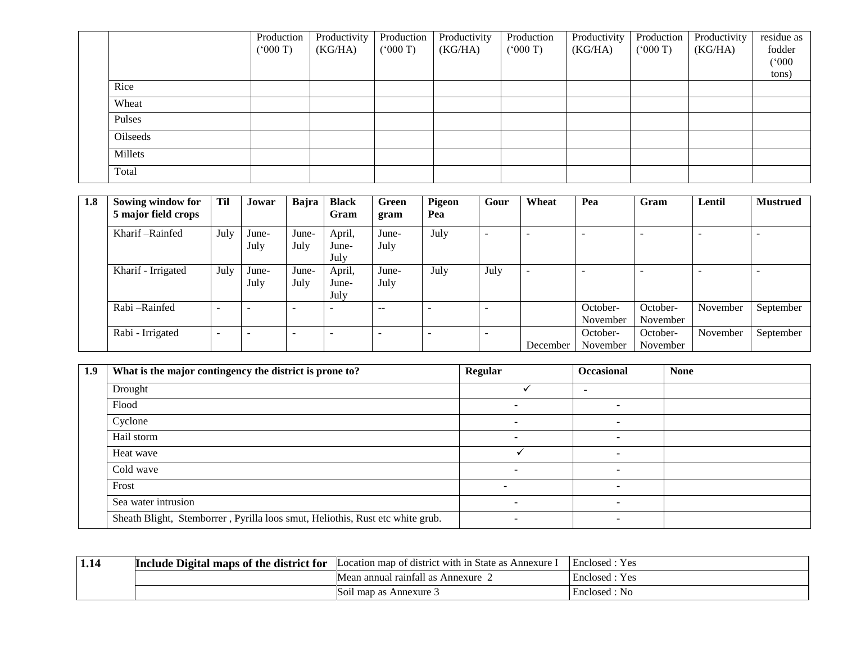|          | Production<br>(5000) | Productivity<br>(KG/HA) | Production<br>(5000T) | Productivity<br>(KG/HA) | Production<br>(000 T) | Productivity<br>(KG/HA) | Production<br>(000 T) | Productivity<br>(KG/HA) | residue as<br>fodder |
|----------|----------------------|-------------------------|-----------------------|-------------------------|-----------------------|-------------------------|-----------------------|-------------------------|----------------------|
|          |                      |                         |                       |                         |                       |                         |                       |                         | (000)<br>tons)       |
| Rice     |                      |                         |                       |                         |                       |                         |                       |                         |                      |
| Wheat    |                      |                         |                       |                         |                       |                         |                       |                         |                      |
| Pulses   |                      |                         |                       |                         |                       |                         |                       |                         |                      |
| Oilseeds |                      |                         |                       |                         |                       |                         |                       |                         |                      |
| Millets  |                      |                         |                       |                         |                       |                         |                       |                         |                      |
| Total    |                      |                         |                       |                         |                       |                         |                       |                         |                      |

| 1.8 | Sowing window for<br>5 major field crops | Til  | Jowar                    | Bajra         | <b>Black</b><br>Gram     | Green<br>gram | Pigeon<br>Pea            | Gour                     | Wheat                    | Pea                      | Gram                 | Lentil   | <b>Mustrued</b> |
|-----|------------------------------------------|------|--------------------------|---------------|--------------------------|---------------|--------------------------|--------------------------|--------------------------|--------------------------|----------------------|----------|-----------------|
|     | Kharif – Rainfed                         | July | June-<br>July            | June-<br>July | April,<br>June-<br>July  | June-<br>July | July                     | $\overline{\phantom{a}}$ | -                        | $\overline{\phantom{a}}$ |                      | -        |                 |
|     | Kharif - Irrigated                       | July | June-<br>July            | June-<br>July | April,<br>June-<br>July  | June-<br>July | July                     | July                     | $\overline{\phantom{a}}$ | $\overline{\phantom{a}}$ |                      |          |                 |
|     | Rabi-Rainfed                             | -    |                          |               | $\overline{\phantom{0}}$ | $- -$         | $\overline{\phantom{0}}$ |                          |                          | October-<br>November     | October-<br>November | November | September       |
|     | Rabi - Irrigated                         | -    | $\overline{\phantom{a}}$ |               | $\overline{\phantom{0}}$ | -             | $\overline{\phantom{0}}$ | -                        | December                 | October-<br>November     | October-<br>November | November | September       |

| 1.9 | What is the major contingency the district is prone to?                       | Regular | <b>Occasional</b> | <b>None</b> |
|-----|-------------------------------------------------------------------------------|---------|-------------------|-------------|
|     | Drought                                                                       |         |                   |             |
|     | Flood                                                                         |         |                   |             |
|     | Cyclone                                                                       |         |                   |             |
|     | Hail storm                                                                    |         |                   |             |
|     | Heat wave                                                                     |         |                   |             |
|     | Cold wave                                                                     |         |                   |             |
|     | Frost                                                                         |         |                   |             |
|     | Sea water intrusion                                                           |         |                   |             |
|     | Sheath Blight, Stemborrer, Pyrilla loos smut, Heliothis, Rust etc white grub. |         |                   |             |

| 1.14 | Include Digital maps of the<br>district for : | State as<br>map)<br>t district with in .<br>Annexure<br>Location | $\overline{\phantom{0}}$<br>Yes<br>Enclosed |  |
|------|-----------------------------------------------|------------------------------------------------------------------|---------------------------------------------|--|
|      |                                               | - 11<br>l raintall as<br>Annexure<br>Mean annual                 | $\therefore$ Yes<br>Enclosed                |  |
|      |                                               | Soil map as Annexure 3                                           | Enclosed : No                               |  |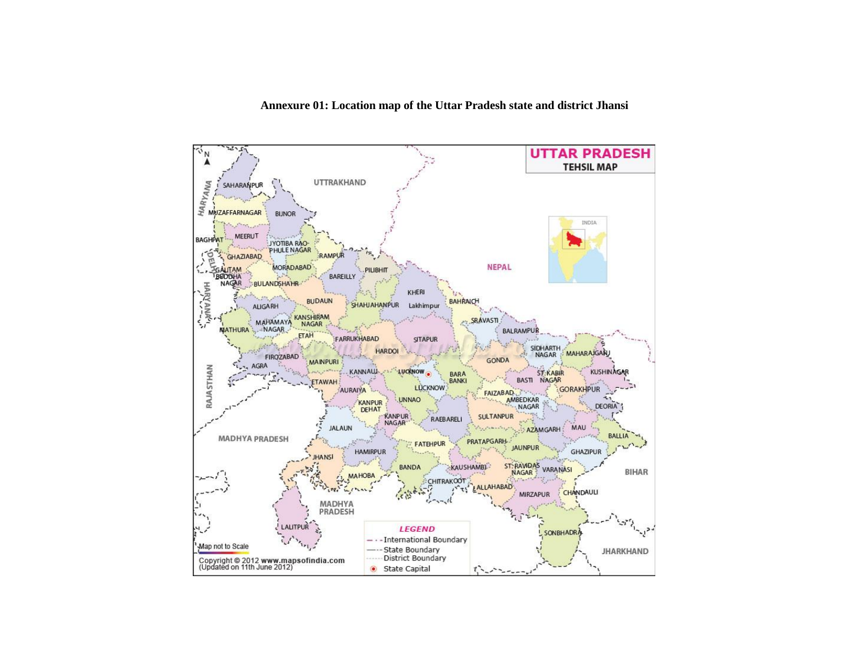#### **Annexure 01: Location map of the Uttar Pradesh state and district Jhansi**

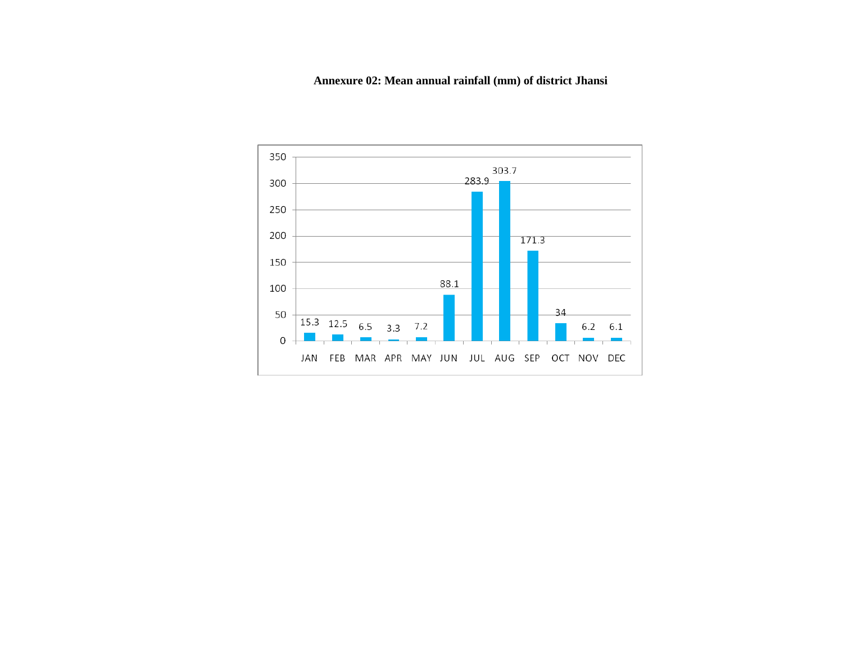# **Annexure 02: Mean annual rainfall (mm) of district Jhansi**

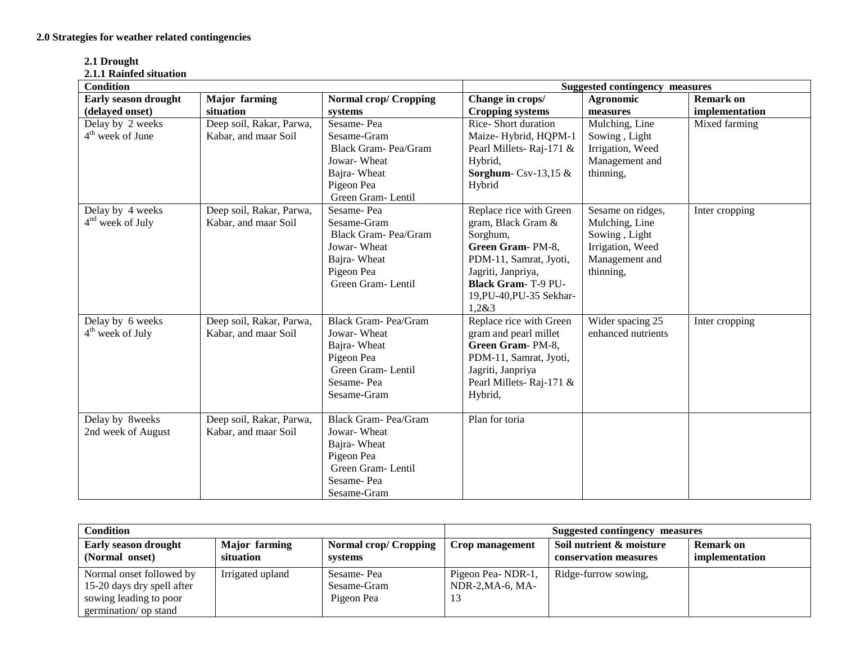| 2.1 Drought          |  |
|----------------------|--|
| 2.1.1 Rainfed situat |  |

| 2.1.1 Rainfed situation |                          |                              |                                       |                    |                  |
|-------------------------|--------------------------|------------------------------|---------------------------------------|--------------------|------------------|
| <b>Condition</b>        |                          |                              | <b>Suggested contingency measures</b> |                    |                  |
| Early season drought    | <b>Major</b> farming     | <b>Normal crop/ Cropping</b> | Change in crops/                      | Agronomic          | <b>Remark on</b> |
| (delayed onset)         | situation                | systems                      | <b>Cropping systems</b>               | measures           | implementation   |
| Delay by 2 weeks        | Deep soil, Rakar, Parwa, | Sesame-Pea                   | <b>Rice-Short duration</b>            | Mulching, Line     | Mixed farming    |
| $4th$ week of June      | Kabar, and maar Soil     | Sesame-Gram                  | Maize-Hybrid, HQPM-1                  | Sowing, Light      |                  |
|                         |                          | Black Gram- Pea/Gram         | Pearl Millets-Raj-171 &               | Irrigation, Weed   |                  |
|                         |                          | Jowar-Wheat                  | Hybrid,                               | Management and     |                  |
|                         |                          | Bajra-Wheat                  | Sorghum-Csv-13,15 $&$                 | thinning,          |                  |
|                         |                          | Pigeon Pea                   | Hybrid                                |                    |                  |
|                         |                          | Green Gram-Lentil            |                                       |                    |                  |
| Delay by 4 weeks        | Deep soil, Rakar, Parwa, | Sesame-Pea                   | Replace rice with Green               | Sesame on ridges,  | Inter cropping   |
| $4nd$ week of July      | Kabar, and maar Soil     | Sesame-Gram                  | gram, Black Gram &                    | Mulching, Line     |                  |
|                         |                          | Black Gram- Pea/Gram         | Sorghum,                              | Sowing, Light      |                  |
|                         |                          | Jowar-Wheat                  | Green Gram-PM-8,                      | Irrigation, Weed   |                  |
|                         |                          | Bajra-Wheat                  | PDM-11, Samrat, Jyoti,                | Management and     |                  |
|                         |                          | Pigeon Pea                   | Jagriti, Janpriya,                    | thinning,          |                  |
|                         |                          | Green Gram-Lentil            | <b>Black Gram-T-9 PU-</b>             |                    |                  |
|                         |                          |                              | 19, PU-40, PU-35 Sekhar-              |                    |                  |
|                         |                          |                              | 1,283                                 |                    |                  |
| Delay by 6 weeks        | Deep soil, Rakar, Parwa, | <b>Black Gram-Pea/Gram</b>   | Replace rice with Green               | Wider spacing 25   | Inter cropping   |
| $4th$ week of July      | Kabar, and maar Soil     | Jowar-Wheat                  | gram and pearl millet                 | enhanced nutrients |                  |
|                         |                          | Bajra-Wheat                  | Green Gram-PM-8,                      |                    |                  |
|                         |                          | Pigeon Pea                   | PDM-11, Samrat, Jyoti,                |                    |                  |
|                         |                          | Green Gram-Lentil            | Jagriti, Janpriya                     |                    |                  |
|                         |                          | Sesame-Pea                   | Pearl Millets-Raj-171 &               |                    |                  |
|                         |                          | Sesame-Gram                  | Hybrid,                               |                    |                  |
| Delay by 8weeks         | Deep soil, Rakar, Parwa, | <b>Black Gram-Pea/Gram</b>   | Plan for toria                        |                    |                  |
| 2nd week of August      | Kabar, and maar Soil     | Jowar-Wheat                  |                                       |                    |                  |
|                         |                          | Bajra-Wheat                  |                                       |                    |                  |
|                         |                          | Pigeon Pea                   |                                       |                    |                  |
|                         |                          | Green Gram-Lentil            |                                       |                    |                  |
|                         |                          | Sesame-Pea                   |                                       |                    |                  |
|                         |                          | Sesame-Gram                  |                                       |                    |                  |

| <b>Condition</b>                                                                                          |                            |                                         | <b>Suggested contingency measures</b>         |                                                   |                             |
|-----------------------------------------------------------------------------------------------------------|----------------------------|-----------------------------------------|-----------------------------------------------|---------------------------------------------------|-----------------------------|
| Early season drought<br>(Normal onset)                                                                    | Major farming<br>situation | <b>Normal crop/ Cropping</b><br>systems | Crop management                               | Soil nutrient & moisture<br>conservation measures | Remark on<br>implementation |
| Normal onset followed by<br>15-20 days dry spell after<br>sowing leading to poor<br>germination/ op stand | Irrigated upland           | Sesame-Pea<br>Sesame-Gram<br>Pigeon Pea | Pigeon Pea-NDR-1,<br>$NDR-2, MA-6, MA-$<br>13 | Ridge-furrow sowing,                              |                             |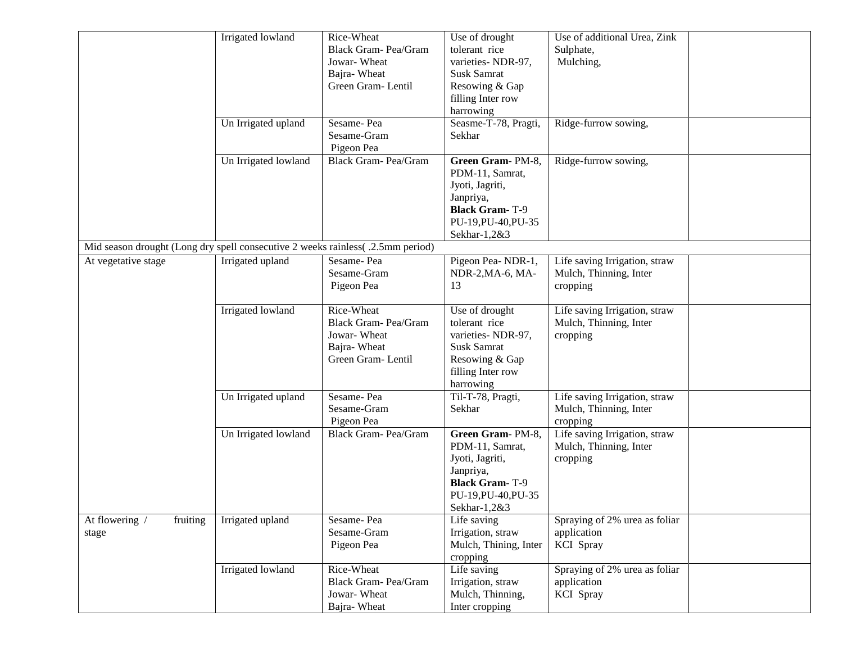|                                                                                 | Irrigated lowland    | Rice-Wheat                  | Use of drought        | Use of additional Urea, Zink  |  |
|---------------------------------------------------------------------------------|----------------------|-----------------------------|-----------------------|-------------------------------|--|
|                                                                                 |                      | Black Gram- Pea/Gram        | tolerant rice         | Sulphate,                     |  |
|                                                                                 |                      | Jowar-Wheat                 | varieties-NDR-97,     | Mulching,                     |  |
|                                                                                 |                      |                             | <b>Susk Samrat</b>    |                               |  |
|                                                                                 |                      | Bajra-Wheat                 |                       |                               |  |
|                                                                                 |                      | Green Gram-Lentil           | Resowing & Gap        |                               |  |
|                                                                                 |                      |                             | filling Inter row     |                               |  |
|                                                                                 |                      |                             | harrowing             |                               |  |
|                                                                                 | Un Irrigated upland  | Sesame-Pea                  | Seasme-T-78, Pragti,  | Ridge-furrow sowing,          |  |
|                                                                                 |                      | Sesame-Gram                 | Sekhar                |                               |  |
|                                                                                 |                      | Pigeon Pea                  |                       |                               |  |
|                                                                                 | Un Irrigated lowland | <b>Black Gram-Pea/Gram</b>  | Green Gram-PM-8,      | Ridge-furrow sowing,          |  |
|                                                                                 |                      |                             | PDM-11, Samrat,       |                               |  |
|                                                                                 |                      |                             |                       |                               |  |
|                                                                                 |                      |                             | Jyoti, Jagriti,       |                               |  |
|                                                                                 |                      |                             | Janpriya,             |                               |  |
|                                                                                 |                      |                             | <b>Black Gram-T-9</b> |                               |  |
|                                                                                 |                      |                             | PU-19, PU-40, PU-35   |                               |  |
|                                                                                 |                      |                             | Sekhar-1,2&3          |                               |  |
| Mid season drought (Long dry spell consecutive 2 weeks rainless( .2.5mm period) |                      |                             |                       |                               |  |
| At vegetative stage                                                             | Irrigated upland     | Sesame-Pea                  | Pigeon Pea-NDR-1,     | Life saving Irrigation, straw |  |
|                                                                                 |                      | Sesame-Gram                 | NDR-2, MA-6, MA-      | Mulch, Thinning, Inter        |  |
|                                                                                 |                      | Pigeon Pea                  | 13                    | cropping                      |  |
|                                                                                 |                      |                             |                       |                               |  |
|                                                                                 | Irrigated lowland    | Rice-Wheat                  | Use of drought        | Life saving Irrigation, straw |  |
|                                                                                 |                      | Black Gram- Pea/Gram        | tolerant rice         | Mulch, Thinning, Inter        |  |
|                                                                                 |                      |                             |                       |                               |  |
|                                                                                 |                      | Jowar-Wheat                 | varieties- NDR-97,    | cropping                      |  |
|                                                                                 |                      | Bajra-Wheat                 | <b>Susk Samrat</b>    |                               |  |
|                                                                                 |                      | Green Gram-Lentil           | Resowing & Gap        |                               |  |
|                                                                                 |                      |                             | filling Inter row     |                               |  |
|                                                                                 |                      |                             | harrowing             |                               |  |
|                                                                                 | Un Irrigated upland  | Sesame-Pea                  | Til-T-78, Pragti,     | Life saving Irrigation, straw |  |
|                                                                                 |                      | Sesame-Gram                 | Sekhar                | Mulch, Thinning, Inter        |  |
|                                                                                 |                      | Pigeon Pea                  |                       | cropping                      |  |
|                                                                                 | Un Irrigated lowland | Black Gram- Pea/Gram        | Green Gram-PM-8,      | Life saving Irrigation, straw |  |
|                                                                                 |                      |                             | PDM-11, Samrat,       |                               |  |
|                                                                                 |                      |                             |                       | Mulch, Thinning, Inter        |  |
|                                                                                 |                      |                             | Jyoti, Jagriti,       | cropping                      |  |
|                                                                                 |                      |                             | Janpriya,             |                               |  |
|                                                                                 |                      |                             | <b>Black Gram-T-9</b> |                               |  |
|                                                                                 |                      |                             | PU-19, PU-40, PU-35   |                               |  |
|                                                                                 |                      |                             | Sekhar-1,2&3          |                               |  |
| At flowering /<br>fruiting                                                      | Irrigated upland     | Sesame-Pea                  | Life saving           | Spraying of 2% urea as foliar |  |
| stage                                                                           |                      | Sesame-Gram                 | Irrigation, straw     | application                   |  |
|                                                                                 |                      | Pigeon Pea                  | Mulch, Thining, Inter | KCI Spray                     |  |
|                                                                                 |                      |                             | cropping              |                               |  |
|                                                                                 | Irrigated lowland    | Rice-Wheat                  | Life saving           | Spraying of 2% urea as foliar |  |
|                                                                                 |                      | <b>Black Gram- Pea/Gram</b> | Irrigation, straw     | application                   |  |
|                                                                                 |                      |                             |                       |                               |  |
|                                                                                 |                      | Jowar-Wheat                 | Mulch, Thinning,      | <b>KCI</b> Spray              |  |
|                                                                                 |                      | Bajra-Wheat                 | Inter cropping        |                               |  |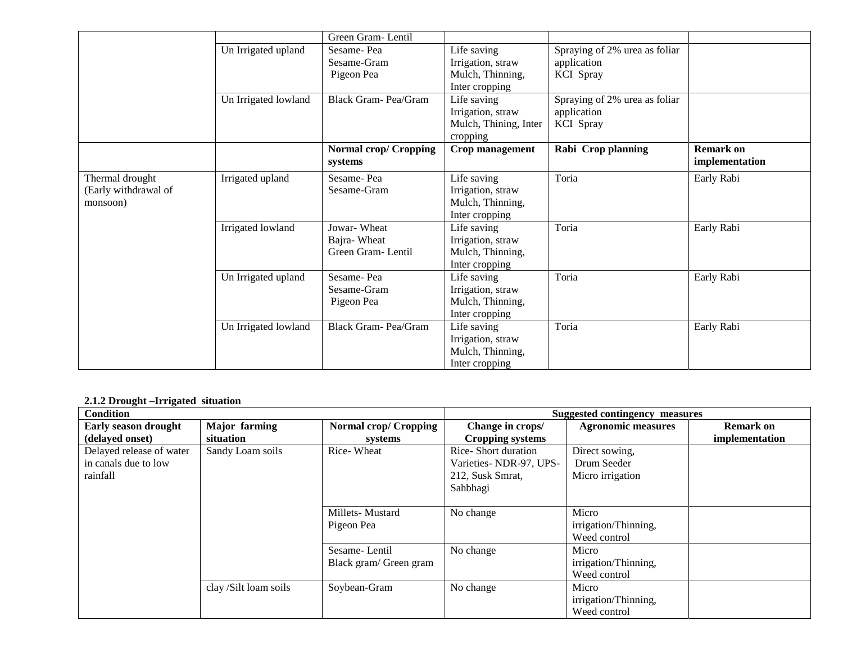|                      |                      | Green Gram-Lentil            |                       |                               |                  |
|----------------------|----------------------|------------------------------|-----------------------|-------------------------------|------------------|
|                      | Un Irrigated upland  | Sesame-Pea                   | Life saving           | Spraying of 2% urea as foliar |                  |
|                      |                      | Sesame-Gram                  | Irrigation, straw     | application                   |                  |
|                      |                      | Pigeon Pea                   | Mulch, Thinning,      | KCI Spray                     |                  |
|                      |                      |                              | Inter cropping        |                               |                  |
|                      | Un Irrigated lowland | <b>Black Gram-Pea/Gram</b>   | Life saving           | Spraying of 2% urea as foliar |                  |
|                      |                      |                              | Irrigation, straw     | application                   |                  |
|                      |                      |                              | Mulch, Thining, Inter | <b>KCI</b> Spray              |                  |
|                      |                      |                              | cropping              |                               |                  |
|                      |                      | <b>Normal crop/ Cropping</b> | Crop management       | Rabi Crop planning            | <b>Remark on</b> |
|                      |                      | systems                      |                       |                               | implementation   |
| Thermal drought      | Irrigated upland     | Sesame-Pea                   | Life saving           | Toria                         | Early Rabi       |
| (Early withdrawal of |                      | Sesame-Gram                  | Irrigation, straw     |                               |                  |
| monsoon)             |                      |                              | Mulch, Thinning,      |                               |                  |
|                      |                      |                              | Inter cropping        |                               |                  |
|                      | Irrigated lowland    | Jowar-Wheat                  | Life saving           | Toria                         | Early Rabi       |
|                      |                      | Bajra-Wheat                  | Irrigation, straw     |                               |                  |
|                      |                      | Green Gram-Lentil            | Mulch, Thinning,      |                               |                  |
|                      |                      |                              | Inter cropping        |                               |                  |
|                      | Un Irrigated upland  | Sesame-Pea                   | Life saving           | Toria                         | Early Rabi       |
|                      |                      | Sesame-Gram                  | Irrigation, straw     |                               |                  |
|                      |                      | Pigeon Pea                   | Mulch, Thinning,      |                               |                  |
|                      |                      |                              | Inter cropping        |                               |                  |
|                      | Un Irrigated lowland | Black Gram-Pea/Gram          | Life saving           | Toria                         | Early Rabi       |
|                      |                      |                              | Irrigation, straw     |                               |                  |
|                      |                      |                              | Mulch, Thinning,      |                               |                  |
|                      |                      |                              | Inter cropping        |                               |                  |

## **2.1.2 Drought –Irrigated situation**

| <b>Condition</b>         |                       |                        | <b>Suggested contingency measures</b> |                           |                  |
|--------------------------|-----------------------|------------------------|---------------------------------------|---------------------------|------------------|
| Early season drought     | <b>Major</b> farming  | Normal crop/ Cropping  | Change in crops/                      | <b>Agronomic measures</b> | <b>Remark on</b> |
| (delayed onset)          | situation             | systems                | Cropping systems                      |                           | implementation   |
| Delayed release of water | Sandy Loam soils      | Rice-Wheat             | Rice-Short duration                   | Direct sowing.            |                  |
| in canals due to low     |                       |                        | Varieties-NDR-97, UPS-                | Drum Seeder               |                  |
| rainfall                 |                       |                        | 212, Susk Smrat,                      | Micro irrigation          |                  |
|                          |                       |                        | Sahbhagi                              |                           |                  |
|                          |                       |                        |                                       |                           |                  |
|                          |                       | Millets-Mustard        | No change                             | Micro                     |                  |
|                          |                       | Pigeon Pea             |                                       | irrigation/Thinning,      |                  |
|                          |                       |                        |                                       | Weed control              |                  |
|                          |                       | Sesame-Lentil          | No change                             | Micro                     |                  |
|                          |                       | Black gram/ Green gram |                                       | irrigation/Thinning,      |                  |
|                          |                       |                        |                                       | Weed control              |                  |
|                          | clay /Silt loam soils | Soybean-Gram           | No change                             | Micro                     |                  |
|                          |                       |                        |                                       | irrigation/Thinning,      |                  |
|                          |                       |                        |                                       | Weed control              |                  |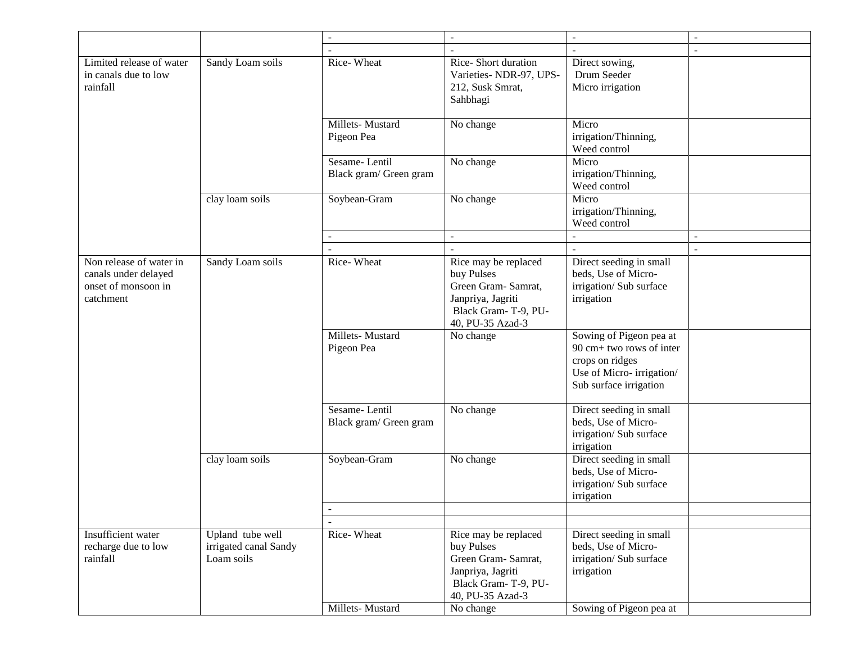|                                                                                     |                                                         | $\blacksquare$                          | $\sim$                                                                                                                    | $\sim$                                                                                                                       | $\blacksquare$ |
|-------------------------------------------------------------------------------------|---------------------------------------------------------|-----------------------------------------|---------------------------------------------------------------------------------------------------------------------------|------------------------------------------------------------------------------------------------------------------------------|----------------|
|                                                                                     |                                                         |                                         |                                                                                                                           |                                                                                                                              | $\overline{a}$ |
| Limited release of water<br>in canals due to low<br>rainfall                        | Sandy Loam soils                                        | Rice-Wheat                              | Rice-Short duration<br>Varieties-NDR-97, UPS-<br>212, Susk Smrat,<br>Sahbhagi                                             | Direct sowing,<br>Drum Seeder<br>Micro irrigation                                                                            |                |
|                                                                                     |                                                         | Millets-Mustard<br>Pigeon Pea           | No change                                                                                                                 | Micro<br>irrigation/Thinning,<br>Weed control                                                                                |                |
|                                                                                     |                                                         | Sesame-Lentil<br>Black gram/ Green gram | No change                                                                                                                 | Micro<br>irrigation/Thinning,<br>Weed control                                                                                |                |
|                                                                                     | clay loam soils                                         | Soybean-Gram                            | No change                                                                                                                 | Micro<br>irrigation/Thinning,<br>Weed control                                                                                |                |
|                                                                                     |                                                         | $\blacksquare$                          | $\overline{\phantom{a}}$                                                                                                  |                                                                                                                              | $\sim$         |
|                                                                                     |                                                         |                                         |                                                                                                                           |                                                                                                                              | $\sim$         |
| Non release of water in<br>canals under delayed<br>onset of monsoon in<br>catchment | Sandy Loam soils<br>clay loam soils                     | Rice-Wheat                              | Rice may be replaced<br>buy Pulses<br>Green Gram- Samrat,<br>Janpriya, Jagriti<br>Black Gram-T-9, PU-<br>40, PU-35 Azad-3 | Direct seeding in small<br>beds, Use of Micro-<br>irrigation/ Sub surface<br>irrigation                                      |                |
|                                                                                     |                                                         | Millets-Mustard<br>Pigeon Pea           | No change                                                                                                                 | Sowing of Pigeon pea at<br>90 cm+ two rows of inter<br>crops on ridges<br>Use of Micro-irrigation/<br>Sub surface irrigation |                |
|                                                                                     |                                                         | Sesame-Lentil<br>Black gram/ Green gram | No change                                                                                                                 | Direct seeding in small<br>beds, Use of Micro-<br>irrigation/Sub surface<br>irrigation                                       |                |
|                                                                                     |                                                         | Soybean-Gram                            | No change                                                                                                                 | Direct seeding in small<br>beds, Use of Micro-<br>irrigation/ Sub surface<br>irrigation                                      |                |
|                                                                                     |                                                         | $\overline{\phantom{a}}$                |                                                                                                                           |                                                                                                                              |                |
| Insufficient water<br>recharge due to low<br>rainfall                               | Upland tube well<br>irrigated canal Sandy<br>Loam soils | $\sim$<br>Rice-Wheat                    | Rice may be replaced<br>buy Pulses<br>Green Gram- Samrat,<br>Janpriya, Jagriti<br>Black Gram-T-9, PU-<br>40, PU-35 Azad-3 | Direct seeding in small<br>beds, Use of Micro-<br>irrigation/ Sub surface<br>irrigation                                      |                |
|                                                                                     |                                                         | Millets-Mustard                         | No change                                                                                                                 | Sowing of Pigeon pea at                                                                                                      |                |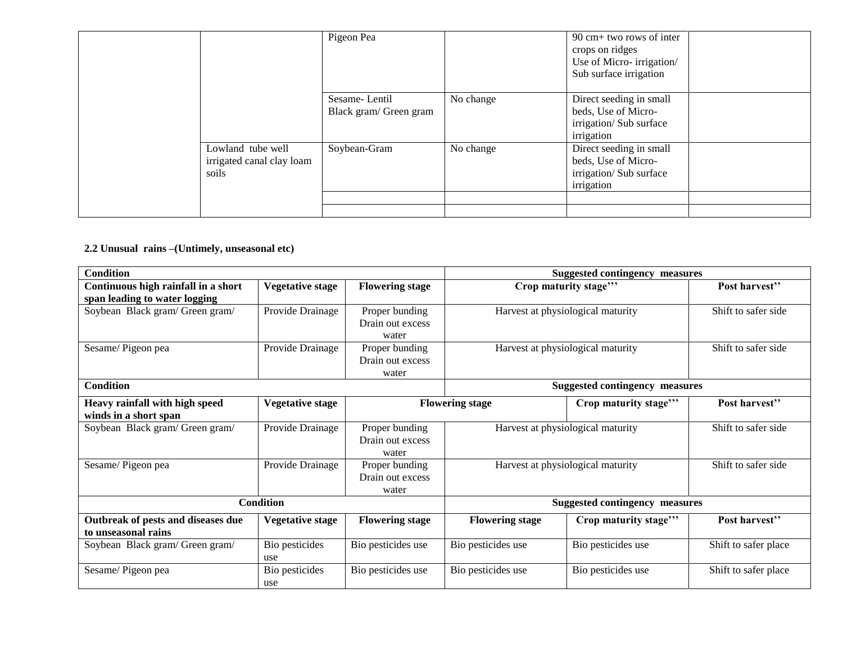|                                                         | Pigeon Pea                              |           | 90 cm+ two rows of inter<br>crops on ridges<br>Use of Micro-irrigation/<br>Sub surface irrigation |  |
|---------------------------------------------------------|-----------------------------------------|-----------|---------------------------------------------------------------------------------------------------|--|
|                                                         | Sesame-Lentil<br>Black gram/ Green gram | No change | Direct seeding in small<br>beds, Use of Micro-<br>irrigation/Sub surface<br>irrigation            |  |
| Lowland tube well<br>irrigated canal clay loam<br>soils | Soybean-Gram                            | No change | Direct seeding in small<br>beds, Use of Micro-<br>irrigation/Sub surface<br>irrigation            |  |
|                                                         |                                         |           |                                                                                                   |  |

## **2.2 Unusual rains –(Untimely, unseasonal etc)**

| <b>Condition</b>                    |                         |                        | <b>Suggested contingency measures</b>          |                                       |                      |
|-------------------------------------|-------------------------|------------------------|------------------------------------------------|---------------------------------------|----------------------|
| Continuous high rainfall in a short | Vegetative stage        | <b>Flowering stage</b> |                                                | Crop maturity stage"                  | Post harvest"        |
| span leading to water logging       |                         |                        |                                                |                                       |                      |
| Soybean Black gram/ Green gram/     | Provide Drainage        | Proper bunding         |                                                | Harvest at physiological maturity     | Shift to safer side  |
|                                     |                         | Drain out excess       |                                                |                                       |                      |
|                                     |                         | water                  |                                                |                                       |                      |
| Sesame/Pigeon pea                   | Provide Drainage        | Proper bunding         |                                                | Harvest at physiological maturity     | Shift to safer side  |
|                                     |                         | Drain out excess       |                                                |                                       |                      |
|                                     |                         | water                  |                                                |                                       |                      |
| <b>Condition</b>                    |                         |                        |                                                | <b>Suggested contingency measures</b> |                      |
| Heavy rainfall with high speed      | Vegetative stage        |                        | <b>Flowering stage</b><br>Crop maturity stage" |                                       | Post harvest"        |
| winds in a short span               |                         |                        |                                                |                                       |                      |
| Soybean Black gram/ Green gram/     | Provide Drainage        | Proper bunding         |                                                | Harvest at physiological maturity     | Shift to safer side  |
|                                     |                         | Drain out excess       |                                                |                                       |                      |
|                                     |                         | water                  |                                                |                                       |                      |
| Sesame/Pigeon pea                   | Provide Drainage        | Proper bunding         |                                                | Harvest at physiological maturity     | Shift to safer side  |
|                                     |                         | Drain out excess       |                                                |                                       |                      |
|                                     |                         | water                  |                                                |                                       |                      |
|                                     | <b>Condition</b>        |                        | <b>Suggested contingency measures</b>          |                                       |                      |
| Outbreak of pests and diseases due  | <b>Vegetative stage</b> | <b>Flowering stage</b> | <b>Flowering stage</b>                         | Crop maturity stage"                  | Post harvest"        |
| to unseasonal rains                 |                         |                        |                                                |                                       |                      |
| Soybean Black gram/ Green gram/     | Bio pesticides          | Bio pesticides use     | Bio pesticides use                             | Bio pesticides use                    | Shift to safer place |
|                                     | use                     |                        |                                                |                                       |                      |
| Sesame/Pigeon pea                   | Bio pesticides          | Bio pesticides use     | Bio pesticides use                             | Bio pesticides use                    | Shift to safer place |
|                                     | use                     |                        |                                                |                                       |                      |